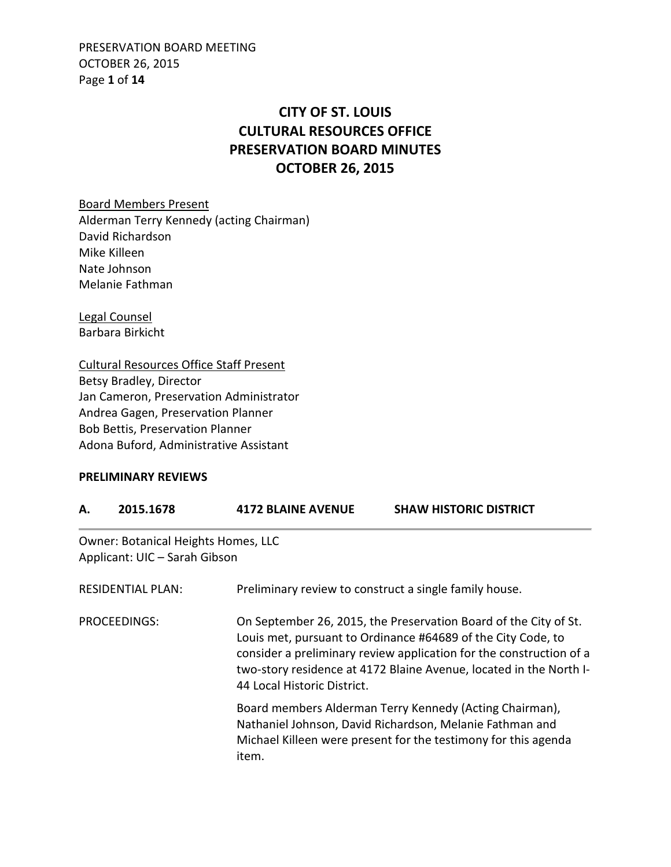PRESERVATION BOARD MEETING OCTOBER 26, 2015 Page **1** of **14**

# **CITY OF ST. LOUIS CULTURAL RESOURCES OFFICE PRESERVATION BOARD MINUTES OCTOBER 26, 2015**

Board Members Present Alderman Terry Kennedy (acting Chairman) David Richardson Mike Killeen Nate Johnson Melanie Fathman

Legal Counsel Barbara Birkicht

Cultural Resources Office Staff Present Betsy Bradley, Director Jan Cameron, Preservation Administrator Andrea Gagen, Preservation Planner Bob Bettis, Preservation Planner Adona Buford, Administrative Assistant

#### **PRELIMINARY REVIEWS**

| А.                       | 2015.1678                                                                   | <b>4172 BLAINE AVENUE</b>                                                                                                                                                                                                                                                                                    | <b>SHAW HISTORIC DISTRICT</b>                                                                                                                                                         |
|--------------------------|-----------------------------------------------------------------------------|--------------------------------------------------------------------------------------------------------------------------------------------------------------------------------------------------------------------------------------------------------------------------------------------------------------|---------------------------------------------------------------------------------------------------------------------------------------------------------------------------------------|
|                          | <b>Owner: Botanical Heights Homes, LLC</b><br>Applicant: UIC - Sarah Gibson |                                                                                                                                                                                                                                                                                                              |                                                                                                                                                                                       |
| <b>RESIDENTIAL PLAN:</b> |                                                                             | Preliminary review to construct a single family house.                                                                                                                                                                                                                                                       |                                                                                                                                                                                       |
| <b>PROCEEDINGS:</b>      |                                                                             | On September 26, 2015, the Preservation Board of the City of St.<br>Louis met, pursuant to Ordinance #64689 of the City Code, to<br>consider a preliminary review application for the construction of a<br>two-story residence at 4172 Blaine Avenue, located in the North I-<br>44 Local Historic District. |                                                                                                                                                                                       |
|                          |                                                                             | item.                                                                                                                                                                                                                                                                                                        | Board members Alderman Terry Kennedy (Acting Chairman),<br>Nathaniel Johnson, David Richardson, Melanie Fathman and<br>Michael Killeen were present for the testimony for this agenda |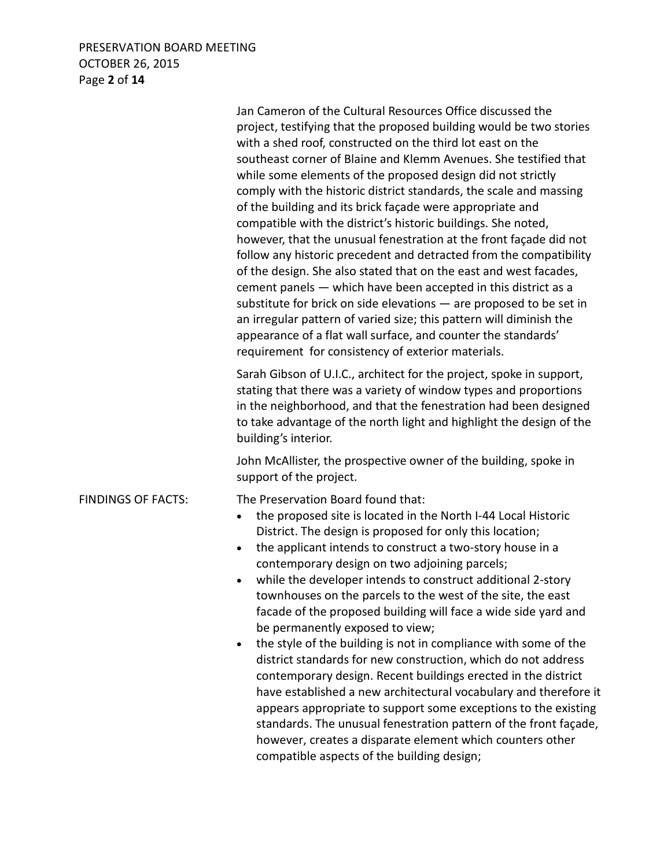### PRESERVATION BOARD MEETING OCTOBER 26, 2015 Page **2** of **14**

 Jan Cameron of the Cultural Resources Office discussed the project, testifying that the proposed building would be two stories with a shed roof, constructed on the third lot east on the southeast corner of Blaine and Klemm Avenues. She testified that while some elements of the proposed design did not strictly comply with the historic district standards, the scale and massing of the building and its brick façade were appropriate and compatible with the district's historic buildings. She noted, however, that the unusual fenestration at the front façade did not follow any historic precedent and detracted from the compatibility of the design. She also stated that on the east and west facades, cement panels — which have been accepted in this district as a substitute for brick on side elevations — are proposed to be set in an irregular pattern of varied size; this pattern will diminish the appearance of a flat wall surface, and counter the standards' requirement for consistency of exterior materials. Sarah Gibson of U.I.C., architect for the project, spoke in support, stating that there was a variety of window types and proportions in the neighborhood, and that the fenestration had been designed to take advantage of the north light and highlight the design of the building's interior. John McAllister, the prospective owner of the building, spoke in support of the project. FINDINGS OF FACTS: The Preservation Board found that: • the proposed site is located in the North I-44 Local Historic District. The design is proposed for only this location; • the applicant intends to construct a two-story house in a contemporary design on two adjoining parcels; • while the developer intends to construct additional 2-story townhouses on the parcels to the west of the site, the east facade of the proposed building will face a wide side yard and be permanently exposed to view; • the style of the building is not in compliance with some of the district standards for new construction, which do not address contemporary design. Recent buildings erected in the district have established a new architectural vocabulary and therefore it appears appropriate to support some exceptions to the existing standards. The unusual fenestration pattern of the front façade, however, creates a disparate element which counters other compatible aspects of the building design;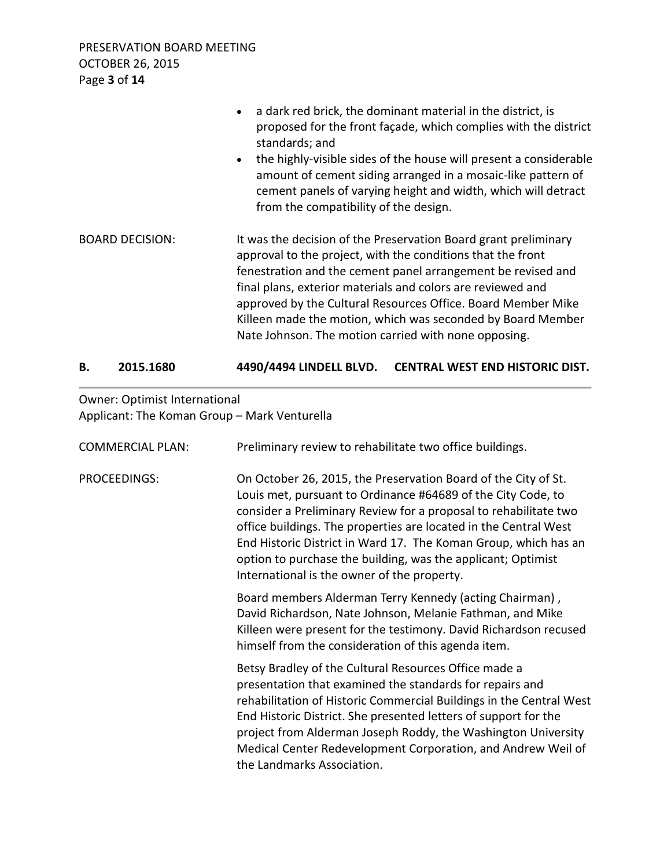PRESERVATION BOARD MEETING OCTOBER 26, 2015 Page **3** of **14**

|                        | • a dark red brick, the dominant material in the district, is<br>proposed for the front façade, which complies with the district<br>standards; and<br>the highly-visible sides of the house will present a considerable<br>$\bullet$<br>amount of cement siding arranged in a mosaic-like pattern of<br>cement panels of varying height and width, which will detract<br>from the compatibility of the design.                                       |
|------------------------|------------------------------------------------------------------------------------------------------------------------------------------------------------------------------------------------------------------------------------------------------------------------------------------------------------------------------------------------------------------------------------------------------------------------------------------------------|
| <b>BOARD DECISION:</b> | It was the decision of the Preservation Board grant preliminary<br>approval to the project, with the conditions that the front<br>fenestration and the cement panel arrangement be revised and<br>final plans, exterior materials and colors are reviewed and<br>approved by the Cultural Resources Office. Board Member Mike<br>Killeen made the motion, which was seconded by Board Member<br>Nate Johnson. The motion carried with none opposing. |

### **B. 2015.1680 4490/4494 LINDELL BLVD. CENTRAL WEST END HISTORIC DIST.**

# Owner: Optimist International Applicant: The Koman Group – Mark Venturella

| <b>COMMERCIAL PLAN:</b> | Preliminary review to rehabilitate two office buildings.                                                                                                                                                                                                                                                                                                                                                                                                 |
|-------------------------|----------------------------------------------------------------------------------------------------------------------------------------------------------------------------------------------------------------------------------------------------------------------------------------------------------------------------------------------------------------------------------------------------------------------------------------------------------|
| <b>PROCEEDINGS:</b>     | On October 26, 2015, the Preservation Board of the City of St.<br>Louis met, pursuant to Ordinance #64689 of the City Code, to<br>consider a Preliminary Review for a proposal to rehabilitate two<br>office buildings. The properties are located in the Central West<br>End Historic District in Ward 17. The Koman Group, which has an<br>option to purchase the building, was the applicant; Optimist<br>International is the owner of the property. |
|                         | Board members Alderman Terry Kennedy (acting Chairman),<br>David Richardson, Nate Johnson, Melanie Fathman, and Mike<br>Killeen were present for the testimony. David Richardson recused<br>himself from the consideration of this agenda item.                                                                                                                                                                                                          |
|                         | Betsy Bradley of the Cultural Resources Office made a<br>presentation that examined the standards for repairs and<br>rehabilitation of Historic Commercial Buildings in the Central West<br>End Historic District. She presented letters of support for the<br>project from Alderman Joseph Roddy, the Washington University<br>Medical Center Redevelopment Corporation, and Andrew Weil of<br>the Landmarks Association.                               |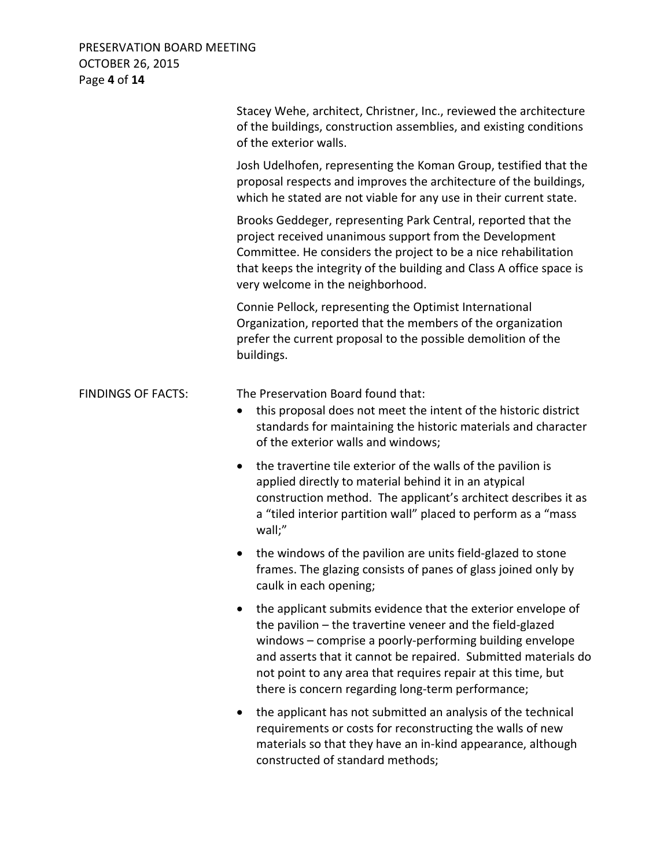### PRESERVATION BOARD MEETING OCTOBER 26, 2015 Page **4** of **14**

|                           | Stacey Wehe, architect, Christner, Inc., reviewed the architecture<br>of the buildings, construction assemblies, and existing conditions<br>of the exterior walls.                                                                                                                                                                                                           |
|---------------------------|------------------------------------------------------------------------------------------------------------------------------------------------------------------------------------------------------------------------------------------------------------------------------------------------------------------------------------------------------------------------------|
|                           | Josh Udelhofen, representing the Koman Group, testified that the<br>proposal respects and improves the architecture of the buildings,<br>which he stated are not viable for any use in their current state.                                                                                                                                                                  |
|                           | Brooks Geddeger, representing Park Central, reported that the<br>project received unanimous support from the Development<br>Committee. He considers the project to be a nice rehabilitation<br>that keeps the integrity of the building and Class A office space is<br>very welcome in the neighborhood.                                                                     |
|                           | Connie Pellock, representing the Optimist International<br>Organization, reported that the members of the organization<br>prefer the current proposal to the possible demolition of the<br>buildings.                                                                                                                                                                        |
| <b>FINDINGS OF FACTS:</b> | The Preservation Board found that:<br>this proposal does not meet the intent of the historic district<br>$\bullet$<br>standards for maintaining the historic materials and character<br>of the exterior walls and windows;                                                                                                                                                   |
|                           | the travertine tile exterior of the walls of the pavilion is<br>$\bullet$<br>applied directly to material behind it in an atypical<br>construction method. The applicant's architect describes it as<br>a "tiled interior partition wall" placed to perform as a "mass<br>wall;"                                                                                             |
|                           | the windows of the pavilion are units field-glazed to stone<br>$\bullet$<br>frames. The glazing consists of panes of glass joined only by<br>caulk in each opening;                                                                                                                                                                                                          |
|                           | the applicant submits evidence that the exterior envelope of<br>the pavilion - the travertine veneer and the field-glazed<br>windows - comprise a poorly-performing building envelope<br>and asserts that it cannot be repaired. Submitted materials do<br>not point to any area that requires repair at this time, but<br>there is concern regarding long-term performance; |
|                           | the applicant has not submitted an analysis of the technical<br>requirements or costs for reconstructing the walls of new<br>materials so that they have an in-kind appearance, although<br>constructed of standard methods;                                                                                                                                                 |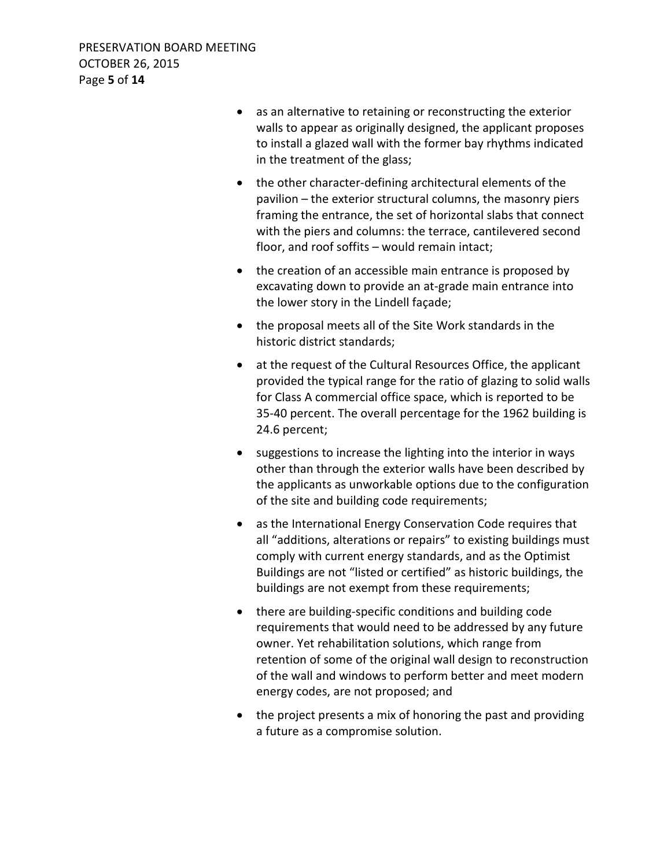- as an alternative to retaining or reconstructing the exterior walls to appear as originally designed, the applicant proposes to install a glazed wall with the former bay rhythms indicated in the treatment of the glass;
- the other character-defining architectural elements of the pavilion – the exterior structural columns, the masonry piers framing the entrance, the set of horizontal slabs that connect with the piers and columns: the terrace, cantilevered second floor, and roof soffits – would remain intact;
- the creation of an accessible main entrance is proposed by excavating down to provide an at-grade main entrance into the lower story in the Lindell façade;
- the proposal meets all of the Site Work standards in the historic district standards;
- at the request of the Cultural Resources Office, the applicant provided the typical range for the ratio of glazing to solid walls for Class A commercial office space, which is reported to be 35-40 percent. The overall percentage for the 1962 building is 24.6 percent;
- suggestions to increase the lighting into the interior in ways other than through the exterior walls have been described by the applicants as unworkable options due to the configuration of the site and building code requirements;
- as the International Energy Conservation Code requires that all "additions, alterations or repairs" to existing buildings must comply with current energy standards, and as the Optimist Buildings are not "listed or certified" as historic buildings, the buildings are not exempt from these requirements;
- there are building-specific conditions and building code requirements that would need to be addressed by any future owner. Yet rehabilitation solutions, which range from retention of some of the original wall design to reconstruction of the wall and windows to perform better and meet modern energy codes, are not proposed; and
- the project presents a mix of honoring the past and providing a future as a compromise solution.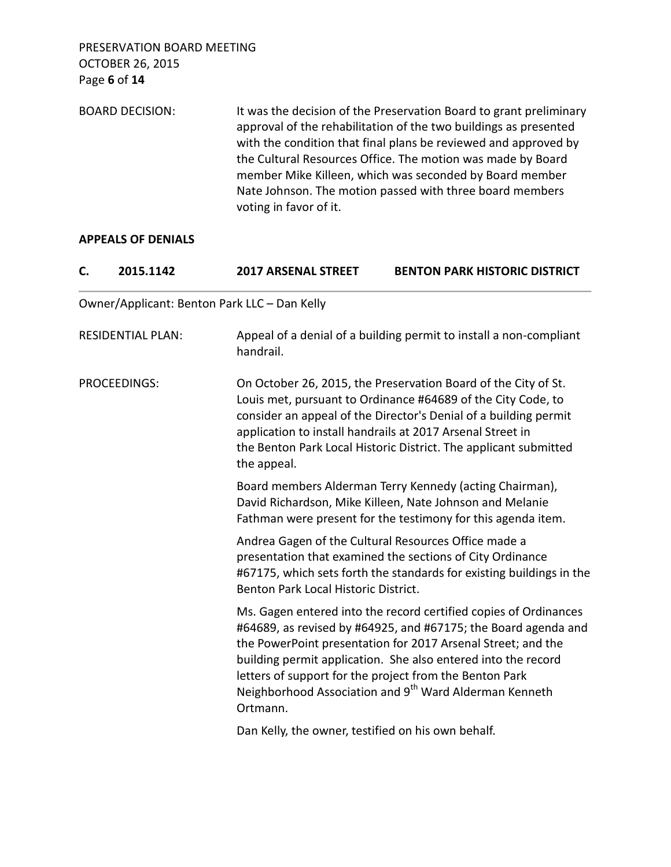OCTOBER 26, 2015 Page **6** of **14** BOARD DECISION: It was the decision of the Preservation Board to grant preliminary approval of the rehabilitation of the two buildings as presented with the condition that final plans be reviewed and approved by the Cultural Resources Office. The motion was made by Board member Mike Killeen, which was seconded by Board member Nate Johnson. The motion passed with three board members voting in favor of it.

#### **APPEALS OF DENIALS**

PRESERVATION BOARD MEETING

| C.           | 2015.1142                | <b>2017 ARSENAL STREET</b>                         | <b>BENTON PARK HISTORIC DISTRICT</b>                                                                                                                                                                                                                                                                                                                                                                 |
|--------------|--------------------------|----------------------------------------------------|------------------------------------------------------------------------------------------------------------------------------------------------------------------------------------------------------------------------------------------------------------------------------------------------------------------------------------------------------------------------------------------------------|
|              |                          | Owner/Applicant: Benton Park LLC - Dan Kelly       |                                                                                                                                                                                                                                                                                                                                                                                                      |
|              | <b>RESIDENTIAL PLAN:</b> | handrail.                                          | Appeal of a denial of a building permit to install a non-compliant                                                                                                                                                                                                                                                                                                                                   |
| PROCEEDINGS: |                          | the appeal.                                        | On October 26, 2015, the Preservation Board of the City of St.<br>Louis met, pursuant to Ordinance #64689 of the City Code, to<br>consider an appeal of the Director's Denial of a building permit<br>application to install handrails at 2017 Arsenal Street in<br>the Benton Park Local Historic District. The applicant submitted                                                                 |
|              |                          |                                                    | Board members Alderman Terry Kennedy (acting Chairman),<br>David Richardson, Mike Killeen, Nate Johnson and Melanie<br>Fathman were present for the testimony for this agenda item.                                                                                                                                                                                                                  |
|              |                          | Benton Park Local Historic District.               | Andrea Gagen of the Cultural Resources Office made a<br>presentation that examined the sections of City Ordinance<br>#67175, which sets forth the standards for existing buildings in the                                                                                                                                                                                                            |
|              |                          | Ortmann.                                           | Ms. Gagen entered into the record certified copies of Ordinances<br>#64689, as revised by #64925, and #67175; the Board agenda and<br>the PowerPoint presentation for 2017 Arsenal Street; and the<br>building permit application. She also entered into the record<br>letters of support for the project from the Benton Park<br>Neighborhood Association and 9 <sup>th</sup> Ward Alderman Kenneth |
|              |                          | Dan Kelly, the owner, testified on his own behalf. |                                                                                                                                                                                                                                                                                                                                                                                                      |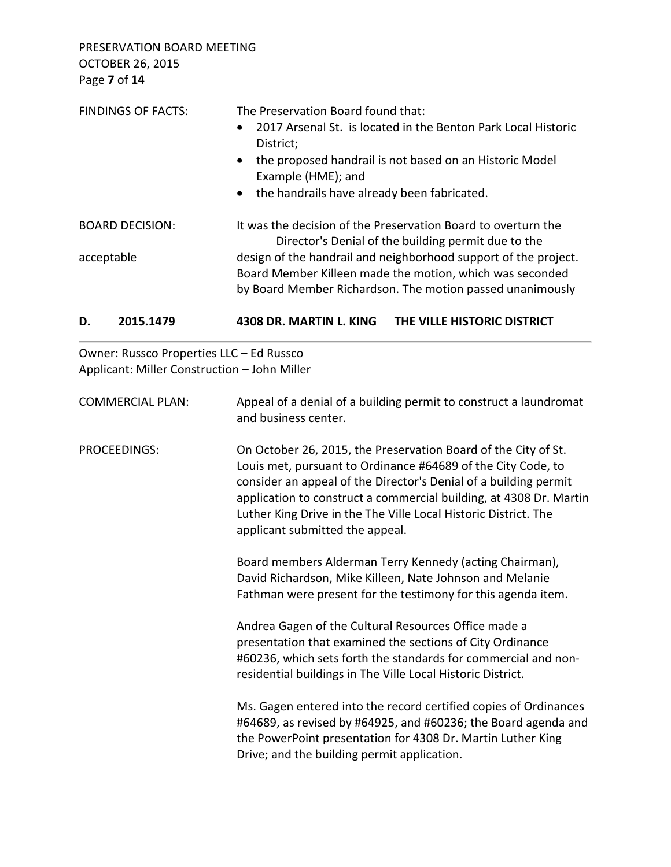PRESERVATION BOARD MEETING OCTOBER 26, 2015 Page **7** of **14**

|                         | <b>FINDINGS OF FACTS:</b>                                                                | The Preservation Board found that:<br>2017 Arsenal St. is located in the Benton Park Local Historic<br>$\bullet$<br>District;<br>the proposed handrail is not based on an Historic Model<br>$\bullet$<br>Example (HME); and<br>the handrails have already been fabricated.<br>$\bullet$                                                                                        |  |
|-------------------------|------------------------------------------------------------------------------------------|--------------------------------------------------------------------------------------------------------------------------------------------------------------------------------------------------------------------------------------------------------------------------------------------------------------------------------------------------------------------------------|--|
| <b>BOARD DECISION:</b>  |                                                                                          | It was the decision of the Preservation Board to overturn the                                                                                                                                                                                                                                                                                                                  |  |
| acceptable              |                                                                                          | Director's Denial of the building permit due to the<br>design of the handrail and neighborhood support of the project.<br>Board Member Killeen made the motion, which was seconded<br>by Board Member Richardson. The motion passed unanimously                                                                                                                                |  |
| D.                      | 2015.1479                                                                                | 4308 DR. MARTIN L. KING<br>THE VILLE HISTORIC DISTRICT                                                                                                                                                                                                                                                                                                                         |  |
|                         | Owner: Russco Properties LLC - Ed Russco<br>Applicant: Miller Construction - John Miller |                                                                                                                                                                                                                                                                                                                                                                                |  |
| <b>COMMERCIAL PLAN:</b> |                                                                                          | Appeal of a denial of a building permit to construct a laundromat<br>and business center.                                                                                                                                                                                                                                                                                      |  |
| <b>PROCEEDINGS:</b>     |                                                                                          | On October 26, 2015, the Preservation Board of the City of St.<br>Louis met, pursuant to Ordinance #64689 of the City Code, to<br>consider an appeal of the Director's Denial of a building permit<br>application to construct a commercial building, at 4308 Dr. Martin<br>Luther King Drive in the The Ville Local Historic District. The<br>applicant submitted the appeal. |  |
|                         |                                                                                          | Board members Alderman Terry Kennedy (acting Chairman),<br>David Richardson, Mike Killeen, Nate Johnson and Melanie<br>Fathman were present for the testimony for this agenda item.                                                                                                                                                                                            |  |
|                         |                                                                                          | Andrea Gagen of the Cultural Resources Office made a<br>presentation that examined the sections of City Ordinance<br>#60236, which sets forth the standards for commercial and non-<br>residential buildings in The Ville Local Historic District.                                                                                                                             |  |

 Ms. Gagen entered into the record certified copies of Ordinances #64689, as revised by #64925, and #60236; the Board agenda and the PowerPoint presentation for 4308 Dr. Martin Luther King Drive; and the building permit application.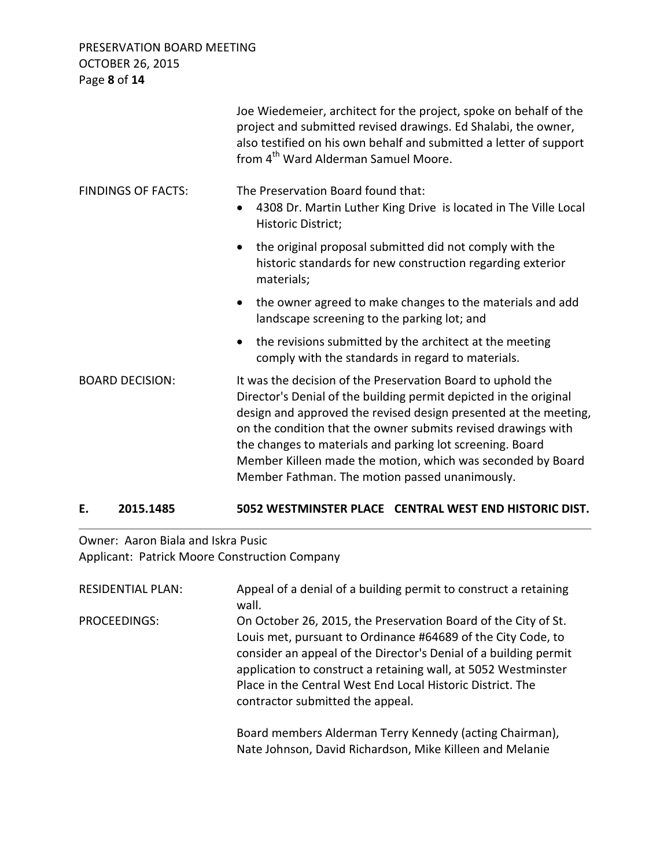PRESERVATION BOARD MEETING OCTOBER 26, 2015 Page **8** of **14**

|                           | Joe Wiedemeier, architect for the project, spoke on behalf of the<br>project and submitted revised drawings. Ed Shalabi, the owner,<br>also testified on his own behalf and submitted a letter of support<br>from 4 <sup>th</sup> Ward Alderman Samuel Moore.                                                                                                                                                                                       |
|---------------------------|-----------------------------------------------------------------------------------------------------------------------------------------------------------------------------------------------------------------------------------------------------------------------------------------------------------------------------------------------------------------------------------------------------------------------------------------------------|
| <b>FINDINGS OF FACTS:</b> | The Preservation Board found that:<br>4308 Dr. Martin Luther King Drive is located in The Ville Local<br>$\bullet$<br>Historic District;                                                                                                                                                                                                                                                                                                            |
|                           | the original proposal submitted did not comply with the<br>$\bullet$<br>historic standards for new construction regarding exterior<br>materials;                                                                                                                                                                                                                                                                                                    |
|                           | the owner agreed to make changes to the materials and add<br>$\bullet$<br>landscape screening to the parking lot; and                                                                                                                                                                                                                                                                                                                               |
|                           | the revisions submitted by the architect at the meeting<br>$\bullet$<br>comply with the standards in regard to materials.                                                                                                                                                                                                                                                                                                                           |
| <b>BOARD DECISION:</b>    | It was the decision of the Preservation Board to uphold the<br>Director's Denial of the building permit depicted in the original<br>design and approved the revised design presented at the meeting,<br>on the condition that the owner submits revised drawings with<br>the changes to materials and parking lot screening. Board<br>Member Killeen made the motion, which was seconded by Board<br>Member Fathman. The motion passed unanimously. |

# **E. 2015.1485 5052 WESTMINSTER PLACE CENTRAL WEST END HISTORIC DIST.**

Owner: Aaron Biala and Iskra Pusic Applicant: Patrick Moore Construction Company

| <b>RESIDENTIAL PLAN:</b> | Appeal of a denial of a building permit to construct a retaining<br>wall.                                                                                                                                                                                                                                                                                              |
|--------------------------|------------------------------------------------------------------------------------------------------------------------------------------------------------------------------------------------------------------------------------------------------------------------------------------------------------------------------------------------------------------------|
| PROCEEDINGS:             | On October 26, 2015, the Preservation Board of the City of St.<br>Louis met, pursuant to Ordinance #64689 of the City Code, to<br>consider an appeal of the Director's Denial of a building permit<br>application to construct a retaining wall, at 5052 Westminster<br>Place in the Central West End Local Historic District. The<br>contractor submitted the appeal. |
|                          | Board members Alderman Terry Kennedy (acting Chairman),<br>Nate Johnson, David Richardson, Mike Killeen and Melanie                                                                                                                                                                                                                                                    |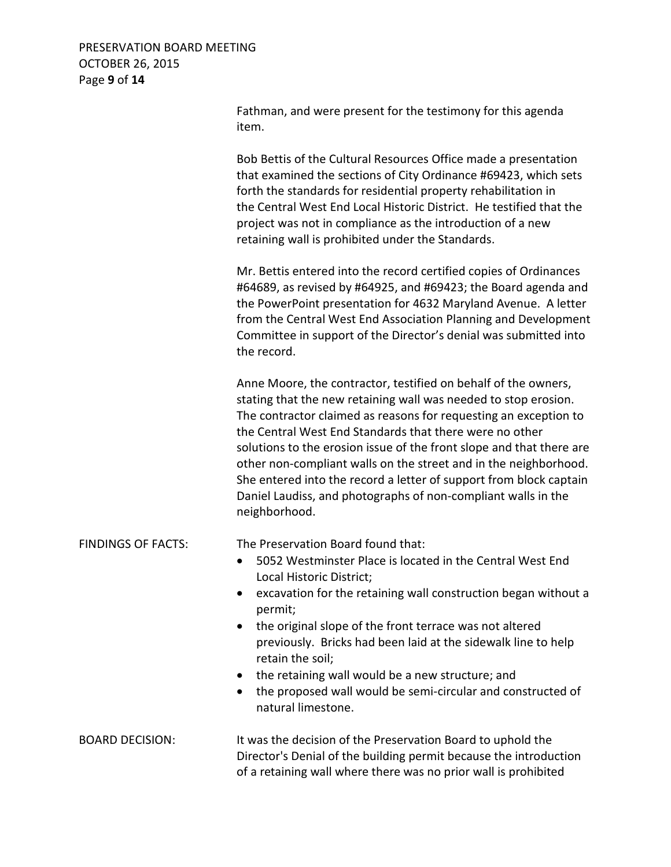### PRESERVATION BOARD MEETING OCTOBER 26, 2015 Page **9** of **14**

|                           | Fathman, and were present for the testimony for this agenda<br>item.                                                                                                                                                                                                                                                                                                                                                                                                                                                                                                 |
|---------------------------|----------------------------------------------------------------------------------------------------------------------------------------------------------------------------------------------------------------------------------------------------------------------------------------------------------------------------------------------------------------------------------------------------------------------------------------------------------------------------------------------------------------------------------------------------------------------|
|                           | Bob Bettis of the Cultural Resources Office made a presentation<br>that examined the sections of City Ordinance #69423, which sets<br>forth the standards for residential property rehabilitation in<br>the Central West End Local Historic District. He testified that the<br>project was not in compliance as the introduction of a new<br>retaining wall is prohibited under the Standards.                                                                                                                                                                       |
|                           | Mr. Bettis entered into the record certified copies of Ordinances<br>#64689, as revised by #64925, and #69423; the Board agenda and<br>the PowerPoint presentation for 4632 Maryland Avenue. A letter<br>from the Central West End Association Planning and Development<br>Committee in support of the Director's denial was submitted into<br>the record.                                                                                                                                                                                                           |
|                           | Anne Moore, the contractor, testified on behalf of the owners,<br>stating that the new retaining wall was needed to stop erosion.<br>The contractor claimed as reasons for requesting an exception to<br>the Central West End Standards that there were no other<br>solutions to the erosion issue of the front slope and that there are<br>other non-compliant walls on the street and in the neighborhood.<br>She entered into the record a letter of support from block captain<br>Daniel Laudiss, and photographs of non-compliant walls in the<br>neighborhood. |
| <b>FINDINGS OF FACTS:</b> | The Preservation Board found that:<br>5052 Westminster Place is located in the Central West End<br>$\bullet$<br>Local Historic District;<br>excavation for the retaining wall construction began without a<br>permit;<br>the original slope of the front terrace was not altered<br>٠<br>previously. Bricks had been laid at the sidewalk line to help<br>retain the soil;<br>the retaining wall would be a new structure; and<br>the proposed wall would be semi-circular and constructed of<br>natural limestone.                                                  |
| <b>BOARD DECISION:</b>    | It was the decision of the Preservation Board to uphold the<br>Director's Denial of the building permit because the introduction<br>of a retaining wall where there was no prior wall is prohibited                                                                                                                                                                                                                                                                                                                                                                  |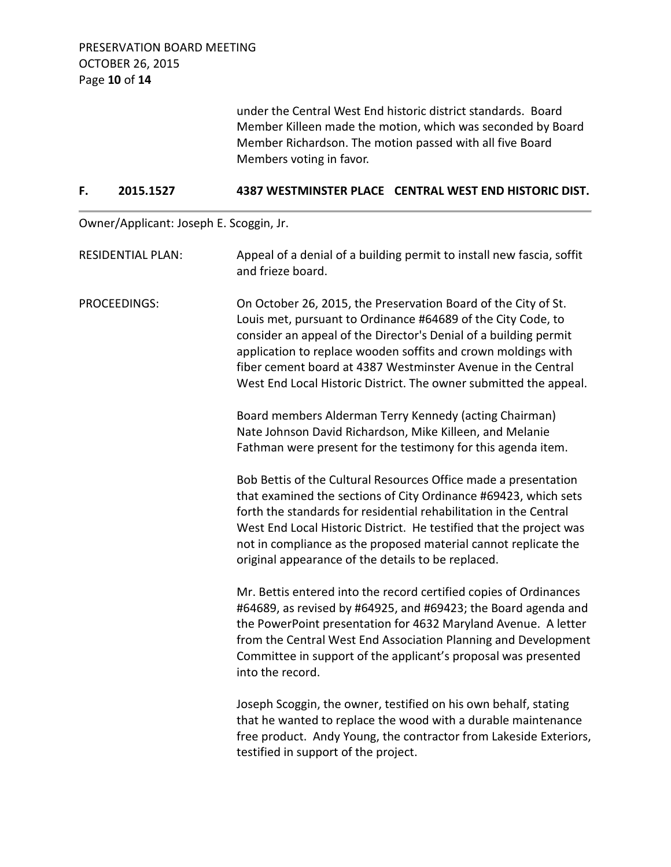under the Central West End historic district standards. Board Member Killeen made the motion, which was seconded by Board Member Richardson. The motion passed with all five Board Members voting in favor.

#### **F. 2015.1527 4387 WESTMINSTER PLACE CENTRAL WEST END HISTORIC DIST.**

Owner/Applicant: Joseph E. Scoggin, Jr.

| <b>RESIDENTIAL PLAN:</b> | Appeal of a denial of a building permit to install new fascia, soffit<br>and frieze board.                                                                                                                                                                                                                                                                                                               |
|--------------------------|----------------------------------------------------------------------------------------------------------------------------------------------------------------------------------------------------------------------------------------------------------------------------------------------------------------------------------------------------------------------------------------------------------|
| <b>PROCEEDINGS:</b>      | On October 26, 2015, the Preservation Board of the City of St.<br>Louis met, pursuant to Ordinance #64689 of the City Code, to<br>consider an appeal of the Director's Denial of a building permit<br>application to replace wooden soffits and crown moldings with<br>fiber cement board at 4387 Westminster Avenue in the Central<br>West End Local Historic District. The owner submitted the appeal. |
|                          | Board members Alderman Terry Kennedy (acting Chairman)<br>Nate Johnson David Richardson, Mike Killeen, and Melanie<br>Fathman were present for the testimony for this agenda item.                                                                                                                                                                                                                       |
|                          | Bob Bettis of the Cultural Resources Office made a presentation<br>that examined the sections of City Ordinance #69423, which sets<br>forth the standards for residential rehabilitation in the Central<br>West End Local Historic District. He testified that the project was<br>not in compliance as the proposed material cannot replicate the<br>original appearance of the details to be replaced.  |
|                          | Mr. Bettis entered into the record certified copies of Ordinances<br>#64689, as revised by #64925, and #69423; the Board agenda and<br>the PowerPoint presentation for 4632 Maryland Avenue. A letter<br>from the Central West End Association Planning and Development<br>Committee in support of the applicant's proposal was presented<br>into the record.                                            |
|                          | Joseph Scoggin, the owner, testified on his own behalf, stating<br>that he wanted to replace the wood with a durable maintenance<br>free product. Andy Young, the contractor from Lakeside Exteriors,<br>testified in support of the project.                                                                                                                                                            |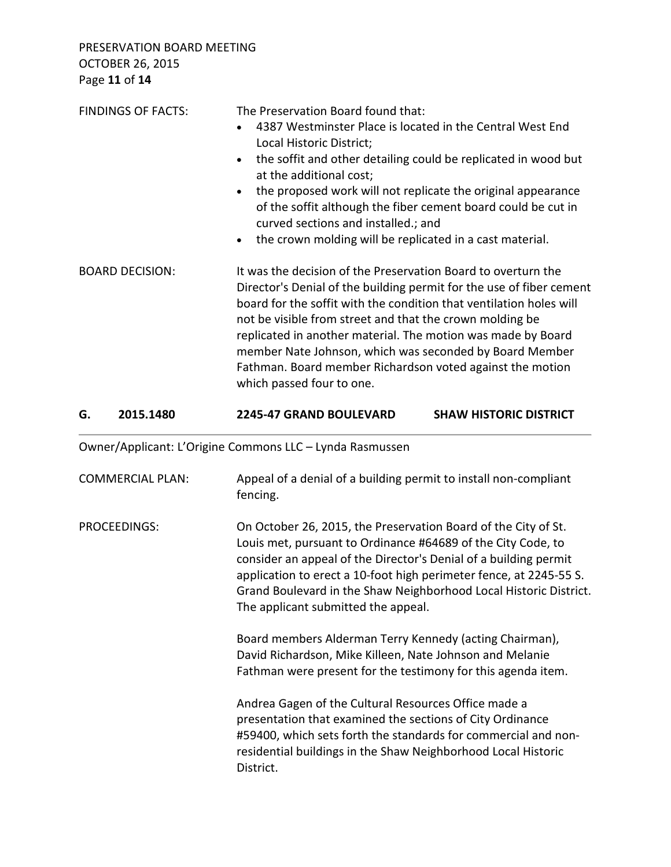PRESERVATION BOARD MEETING OCTOBER 26, 2015 Page **11** of **14**

| <b>FINDINGS OF FACTS:</b> | The Preservation Board found that:<br>4387 Westminster Place is located in the Central West End<br>Local Historic District;<br>the soffit and other detailing could be replicated in wood but<br>$\bullet$<br>at the additional cost;<br>the proposed work will not replicate the original appearance<br>$\bullet$<br>of the soffit although the fiber cement board could be cut in<br>curved sections and installed.; and<br>the crown molding will be replicated in a cast material.<br>$\bullet$ |
|---------------------------|-----------------------------------------------------------------------------------------------------------------------------------------------------------------------------------------------------------------------------------------------------------------------------------------------------------------------------------------------------------------------------------------------------------------------------------------------------------------------------------------------------|
| <b>BOARD DECISION:</b>    | It was the decision of the Preservation Board to overturn the<br>Director's Denial of the building permit for the use of fiber cement<br>board for the soffit with the condition that ventilation holes will<br>not be visible from street and that the crown molding be<br>replicated in another material. The motion was made by Board<br>member Nate Johnson, which was seconded by Board Member<br>Fathman. Board member Richardson voted against the motion<br>which passed four to one.       |

### **G. 2015.1480 2245-47 GRAND BOULEVARD SHAW HISTORIC DISTRICT**

Owner/Applicant: L'Origine Commons LLC – Lynda Rasmussen

| <b>COMMERCIAL PLAN:</b> | Appeal of a denial of a building permit to install non-compliant<br>fencing.                                                                                                                                                                                                                                                                                                         |
|-------------------------|--------------------------------------------------------------------------------------------------------------------------------------------------------------------------------------------------------------------------------------------------------------------------------------------------------------------------------------------------------------------------------------|
| PROCEEDINGS:            | On October 26, 2015, the Preservation Board of the City of St.<br>Louis met, pursuant to Ordinance #64689 of the City Code, to<br>consider an appeal of the Director's Denial of a building permit<br>application to erect a 10-foot high perimeter fence, at 2245-55 S.<br>Grand Boulevard in the Shaw Neighborhood Local Historic District.<br>The applicant submitted the appeal. |
|                         | Board members Alderman Terry Kennedy (acting Chairman),<br>David Richardson, Mike Killeen, Nate Johnson and Melanie<br>Fathman were present for the testimony for this agenda item.                                                                                                                                                                                                  |
|                         | Andrea Gagen of the Cultural Resources Office made a<br>presentation that examined the sections of City Ordinance<br>#59400, which sets forth the standards for commercial and non-<br>residential buildings in the Shaw Neighborhood Local Historic<br>District.                                                                                                                    |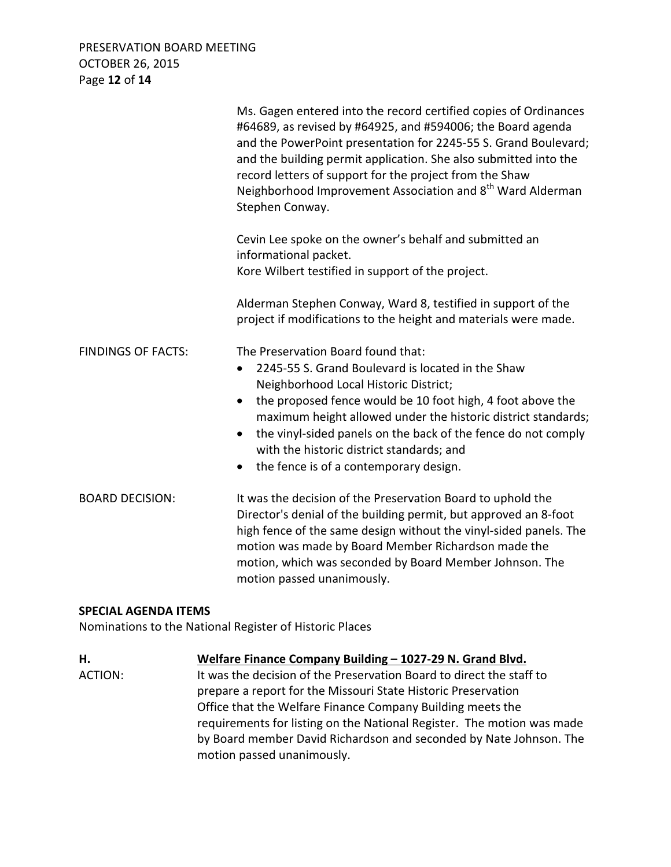PRESERVATION BOARD MEETING OCTOBER 26, 2015 Page **12** of **14**

|                           | Ms. Gagen entered into the record certified copies of Ordinances<br>#64689, as revised by #64925, and #594006; the Board agenda<br>and the PowerPoint presentation for 2245-55 S. Grand Boulevard;<br>and the building permit application. She also submitted into the<br>record letters of support for the project from the Shaw<br>Neighborhood Improvement Association and 8 <sup>th</sup> Ward Alderman<br>Stephen Conway. |
|---------------------------|--------------------------------------------------------------------------------------------------------------------------------------------------------------------------------------------------------------------------------------------------------------------------------------------------------------------------------------------------------------------------------------------------------------------------------|
|                           | Cevin Lee spoke on the owner's behalf and submitted an<br>informational packet.<br>Kore Wilbert testified in support of the project.                                                                                                                                                                                                                                                                                           |
|                           | Alderman Stephen Conway, Ward 8, testified in support of the<br>project if modifications to the height and materials were made.                                                                                                                                                                                                                                                                                                |
| <b>FINDINGS OF FACTS:</b> | The Preservation Board found that:<br>2245-55 S. Grand Boulevard is located in the Shaw<br>Neighborhood Local Historic District;<br>the proposed fence would be 10 foot high, 4 foot above the<br>maximum height allowed under the historic district standards;<br>the vinyl-sided panels on the back of the fence do not comply<br>with the historic district standards; and<br>the fence is of a contemporary design.        |
| <b>BOARD DECISION:</b>    | It was the decision of the Preservation Board to uphold the<br>Director's denial of the building permit, but approved an 8-foot<br>high fence of the same design without the vinyl-sided panels. The<br>motion was made by Board Member Richardson made the<br>motion, which was seconded by Board Member Johnson. The<br>motion passed unanimously.                                                                           |

#### **SPECIAL AGENDA ITEMS**

Nominations to the National Register of Historic Places

**H. Welfare Finance Company Building – 1027-29 N. Grand Blvd.** ACTION: It was the decision of the Preservation Board to direct the staff to prepare a report for the Missouri State Historic Preservation Office that the Welfare Finance Company Building meets the requirements for listing on the National Register. The motion was made by Board member David Richardson and seconded by Nate Johnson. The motion passed unanimously.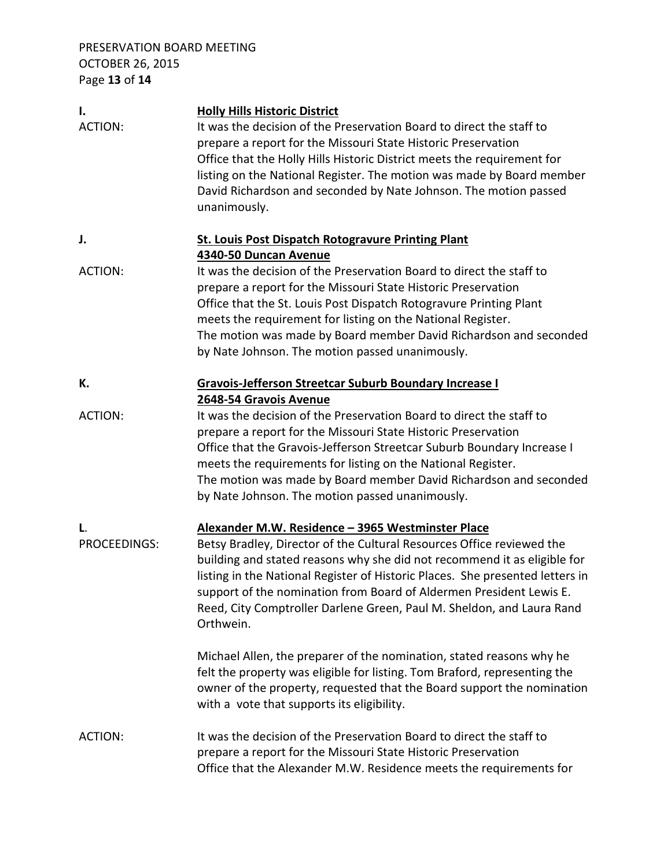PRESERVATION BOARD MEETING OCTOBER 26, 2015 Page **13** of **14**

| Ι.             | <b>Holly Hills Historic District</b>                                          |
|----------------|-------------------------------------------------------------------------------|
| <b>ACTION:</b> | It was the decision of the Preservation Board to direct the staff to          |
|                | prepare a report for the Missouri State Historic Preservation                 |
|                | Office that the Holly Hills Historic District meets the requirement for       |
|                | listing on the National Register. The motion was made by Board member         |
|                | David Richardson and seconded by Nate Johnson. The motion passed              |
|                | unanimously.                                                                  |
|                |                                                                               |
| J.             | <b>St. Louis Post Dispatch Rotogravure Printing Plant</b>                     |
|                | 4340-50 Duncan Avenue                                                         |
| <b>ACTION:</b> | It was the decision of the Preservation Board to direct the staff to          |
|                | prepare a report for the Missouri State Historic Preservation                 |
|                | Office that the St. Louis Post Dispatch Rotogravure Printing Plant            |
|                | meets the requirement for listing on the National Register.                   |
|                | The motion was made by Board member David Richardson and seconded             |
|                | by Nate Johnson. The motion passed unanimously.                               |
|                |                                                                               |
| К.             | <b>Gravois-Jefferson Streetcar Suburb Boundary Increase I</b>                 |
|                | 2648-54 Gravois Avenue                                                        |
| <b>ACTION:</b> | It was the decision of the Preservation Board to direct the staff to          |
|                | prepare a report for the Missouri State Historic Preservation                 |
|                | Office that the Gravois-Jefferson Streetcar Suburb Boundary Increase I        |
|                | meets the requirements for listing on the National Register.                  |
|                | The motion was made by Board member David Richardson and seconded             |
|                | by Nate Johnson. The motion passed unanimously.                               |
|                |                                                                               |
| L.             | Alexander M.W. Residence - 3965 Westminster Place                             |
| PROCEEDINGS:   | Betsy Bradley, Director of the Cultural Resources Office reviewed the         |
|                | building and stated reasons why she did not recommend it as eligible for      |
|                | listing in the National Register of Historic Places. She presented letters in |
|                | support of the nomination from Board of Aldermen President Lewis E.           |
|                |                                                                               |
|                | Reed, City Comptroller Darlene Green, Paul M. Sheldon, and Laura Rand         |
|                | Orthwein.                                                                     |
|                | Michael Allen, the preparer of the nomination, stated reasons why he          |
|                | felt the property was eligible for listing. Tom Braford, representing the     |
|                |                                                                               |
|                | owner of the property, requested that the Board support the nomination        |
|                | with a vote that supports its eligibility.                                    |
| <b>ACTION:</b> | It was the decision of the Preservation Board to direct the staff to          |
|                | prepare a report for the Missouri State Historic Preservation                 |
|                |                                                                               |
|                | Office that the Alexander M.W. Residence meets the requirements for           |